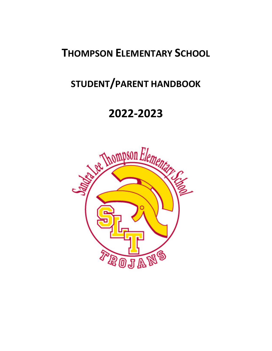# **THOMPSON ELEMENTARY SCHOOL**

# **STUDENT/PARENT HANDBOOK**

# **2022-2023**

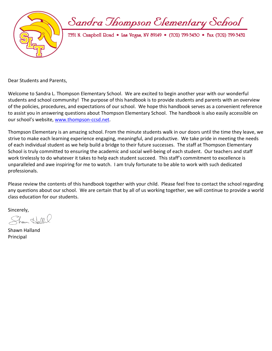Sandra Thompson Clementary School



7351 N. Campbell Doad • Las Vegas, NV 89149 • (702) 799-3430 • Fax (702) 799-3432

Dear Students and Parents,

Welcome to Sandra L. Thompson Elementary School. We are excited to begin another year with our wonderful students and school community! The purpose of this handbook is to provide students and parents with an overview of the policies, procedures, and expectations of our school. We hope this handbook serves as a convenient reference to assist you in answering questions about Thompson Elementary School. The handbook is also easily accessible on our school's website, [www.thompson-ccsd.net.](http://www.thompson-ccsd.net/)

Thompson Elementary is an amazing school. From the minute students walk in our doors until the time they leave, we strive to make each learning experience engaging, meaningful, and productive. We take pride in meeting the needs of each individual student as we help build a bridge to their future successes. The staff at Thompson Elementary School is truly committed to ensuring the academic and social well-being of each student. Our teachers and staff work tirelessly to do whatever it takes to help each student succeed. This staff's commitment to excellence is unparalleled and awe inspiring for me to watch. I am truly fortunate to be able to work with such dedicated professionals.

Please review the contents of this handbook together with your child. Please feel free to contact the school regarding any questions about our school. We are certain that by all of us working together, we will continue to provide a world class education for our students.

Sincerely,

Sham Hallal

Shawn Halland Principal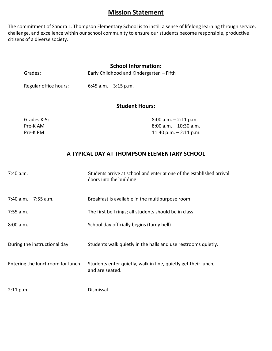# **Mission Statement**

The commitment of Sandra L. Thompson Elementary School is to instill a sense of lifelong learning through service, challenge, and excellence within our school community to ensure our students become responsible, productive citizens of a diverse society.

#### **School Information:**

| Grades: | Early Childhood and Kindergarten - Fifth |
|---------|------------------------------------------|
|         |                                          |

Regular office hours: 6:45 a.m. – 3:15 p.m.

### **Student Hours:**

| Grades K-5: | $8:00$ a.m. $-2:11$ p.m.  |
|-------------|---------------------------|
| Pre-K AM    | . 8:00 a.m. – 10:30 a.m.  |
| Pre-K PM    | $11:40$ p.m. $-2:11$ p.m. |

#### **A TYPICAL DAY AT THOMPSON ELEMENTARY SCHOOL**

| $7:40$ a.m.                      | Students arrive at school and enter at one of the established arrival<br>doors into the building |
|----------------------------------|--------------------------------------------------------------------------------------------------|
| $7:40$ a.m. $-7:55$ a.m.         | Breakfast is available in the multipurpose room                                                  |
| $7:55$ a.m.                      | The first bell rings; all students should be in class                                            |
| 8:00 a.m.                        | School day officially begins (tardy bell)                                                        |
| During the instructional day     | Students walk quietly in the halls and use restrooms quietly.                                    |
| Entering the lunchroom for lunch | Students enter quietly, walk in line, quietly get their lunch,<br>and are seated.                |
| 2:11 p.m.                        | Dismissal                                                                                        |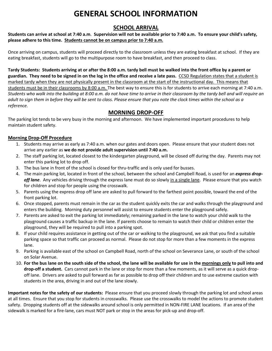# **GENERAL SCHOOL INFORMATION**

### **SCHOOL ARRIVAL**

**Students can arrive at school at 7:40 a.m**. **Supervision will not be available prior to 7:40 a.m. To ensure your child's safety, please adhere to this time. Students cannot be on campus prior to 7:40 a.m.**

Once arriving on campus, students will proceed directly to the classroom unless they are eating breakfast at school. If they are eating breakfast, students will go to the multipurpose room to have breakfast, and then proceed to class.

**Tardy Students: Students arriving at or after the 8:00 a.m. tardy bell must be walked into the front office by a parent or guardian. They need to be signed in on the log in the office and receive a late pass.** CCSD Regulation states that a student is marked tardy when they are not physically present in the classroom at the start of the instructional day. This means that students must be in their classrooms by 8:00 a.m. The best way to ensure this is for students to arrive each morning at 7:40 a.m. *Students who walk into the building at 8:00 a.m. do not have time to arrive in their classroom by the tardy bell and will require an adult to sign them in before they will be sent to class. Please ensure that you note the clock times within the school as a reference.* 

# **MORNING DROP-OFF**

The parking lot tends to be very busy in the morning and afternoon. We have implemented important procedures to help maintain student safety.

#### **Morning Drop-Off Procedure**

- 1. Students may arrive as early as 7:40 a.m. when our gates and doors open. Please ensure that your student does not arrive any earlier as **we do not provide adult supervision until 7:40 a.m.**
- 2. The staff parking lot, located closest to the kindergarten playground, will be closed off during the day. Parents may not enter this parking lot to drop off.
- 3. The bus lane in front of the school is closed for thru-traffic and is only used for busses.
- 4. The main parking lot, located in front of the school, between the school and Campbell Road, is used for an *express dropoff lane*. Any vehicles driving through the express lane must do so slowly in a single lane. Please ensure that you watch for children and stop for people using the crosswalk.
- 5. Parents using the express drop off lane are asked to pull forward to the farthest point possible, toward the end of the front parking lot.
- 6. Once stopped, parents must remain in the car as the student quickly exits the car and walks through the playground and enters the building. Morning duty personnel will assist to ensure students enter the playground safely.
- 7. Parents are asked to exit the parking lot immediately; remaining parked in the lane to watch your child walk to the playground causes a traffic backup in the lane. If parents choose to remain to watch their child or children enter the playground, they will be required to pull into a parking spot.
- 8. If your child requires assistance in getting out of the car or walking to the playground, we ask that you find a suitable parking space so that traffic can proceed as normal. Please do not stop for more than a few moments in the express lane.
- 9. Parking is available east of the school on Campbell Road, north of the school on Severance Lane, or south of the school on Solar Avenue.
- 10. **For the bus lane on the south side of the school, the lane will be available for use in the mornings only to pull into and drop-off a student.** Cars cannot park in the lane or stop for more than a few moments, as it will serve as a quick dropoff lane. Drivers are asked to pull forward as far as possible to drop off their children and to use extreme caution with students in the area, driving in and out of the lane slowly.

**Important notes for the safety of our students:** Please ensure that you proceed slowly through the parking lot and school areas at all times. Ensure that you stop for students in crosswalks. Please use the crosswalks to model the actions to promote student safety. Dropping students off at the sidewalks around school is only permitted in NON-FIRE LANE locations. If an area of the sidewalk is marked for a fire-lane, cars must NOT park or stop in the areas for pick-up and drop-off.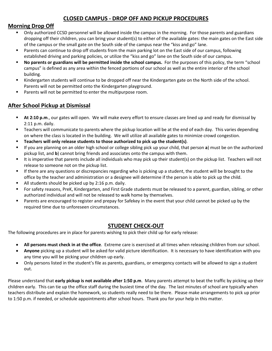# **CLOSED CAMPUS - DROP OFF AND PICKUP PROCEDURES**

#### **Morning Drop Off**

- Only authorized CCSD personnel will be allowed inside the campus in the morning. For those parents and guardians dropping off their children, you can bring your student(s) to either of the available gates: the main gates on the East side of the campus or the small gate on the South side of the campus near the "kiss and go" lane.
- **Parents can continue to drop off students from the main parking lot on the East side of our campus, following** established driving and parking policies, or utilize the "kiss and go" lane on the South side of our campus.
- **No parents or guardians will be permitted inside the school campus.** For the purposes of this policy, the term "school campus" is defined as any area within the fenced portions of our school as well as the entire interior of the school building.
- Kindergarten students will continue to be dropped off near the Kindergarten gate on the North side of the school. Parents will not be permitted onto the Kindergarten playground.
- **Parents will not be permitted to enter the multipurpose room.**

# **After School Pickup at Dismissal**

- **At 2:10 p.m**., our gates will open. We will make every effort to ensure classes are lined up and ready for dismissal by 2:11 p.m. daily.
- Teachers will communicate to parents where the pickup location will be at the end of each day. This varies depending on where the class is located in the building. We will utilize all available gates to minimize crowd congestion.
- **Teachers will only release students to those authorized to pick up the student(s)**.
- If you are planning on an older high school or college sibling pick up your child, that person **a**) must be on the authorized pickup list, and **b**) cannot bring friends and associates onto the campus with them.
- It is imperative that parents include all individuals who may pick up their student(s) on the pickup list. Teachers will not release to someone not on the pickup list.
- If there are any questions or discrepancies regarding who is picking up a student, the student will be brought to the office by the teacher and administration or a designee will determine if the person is able to pick up the child.
- All students should be picked up by 2:16 p.m. daily.
- For safety reasons, PreK, Kindergarten, and First Grade students must be released to a parent, guardian, sibling, or other authorized individual and will not be released to walk home by themselves.
- Parents are encouraged to register and prepay for Safekey in the event that your child cannot be picked up by the required time due to unforeseen circumstances.

# **STUDENT CHECK-OUT**

The following procedures are in place for parents wishing to pick their child up for early release:

- **All persons must check in at the office**. Extreme care is exercised at all times when releasing children from our school.
- **Anyone** picking up a student will be asked for valid picture identification. It is necessary to have identification with you any time you will be picking your children up early.
- Only persons listed in the student's file as parents, guardians, or emergency contacts will be allowed to sign a student out.

Please understand that **early pickup is not available after 1:50 p.m**. Many parents attempt to beat the traffic by picking up their children early. This can tie up the office staff during the busiest time of the day. The last minutes of school are typically when teachers distribute and explain the homework, so students really need to be there. Please make arrangements to pick up prior to 1:50 p.m. if needed, or schedule appointments after school hours. Thank you for your help in this matter.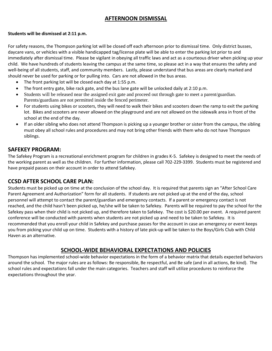# **AFTERNOON DISMISSAL**

#### **Students will be dismissed at 2:11 p.m.**

For safety reasons, the Thompson parking lot will be closed off each afternoon prior to dismissal time. Only district busses, daycare vans, or vehicles with a visible handicapped tag/license plate will be able to enter the parking lot prior to and immediately after dismissal time. Please be vigilant in obeying all traffic laws and act as a courteous driver when picking up your child. We have hundreds of students leaving the campus at the same time, so please act in a way that ensures the safety and well-being of all students, staff, and community members. Lastly, please understand that bus areas are clearly marked and should never be used for parking or for pulling into. Cars are not allowed in the bus areas.

- The front parking lot will be closed each day at 1:55 p.m.
- The front entry gate, bike rack gate, and the bus lane gate will be unlocked daily at 2:10 p.m.
- Students will be released near the assigned exit gate and proceed out through gate to meet a parent/guardian. Parents/guardians are not permitted inside the fenced perimeter.
- For students using bikes or scooters, they will need to walk their bikes and scooters down the ramp to exit the parking lot. Bikes and scooters are never allowed on the playground and are not allowed on the sidewalk area in front of the school at the end of the day.
- If an older sibling who does not attend Thompson is picking up a younger brother or sister from the campus, the sibling must obey all school rules and procedures and may not bring other friends with them who do not have Thompson siblings.

#### **SAFEKEY PROGRAM:**

The Safekey Program is a recreational enrichment program for children in grades K-5. Safekey is designed to meet the needs of the working parent as well as the children. For further information, please call 702-229-3399. Students must be registered and have prepaid passes on their account in order to attend Safekey.

#### **CCSD AFTER SCHOOL CARE PLAN:**

Students must be picked up on time at the conclusion of the school day. It is required that parents sign an "After School Care Parent Agreement and Authorization" form for all students. If students are not picked up at the end of the day, school personnel will attempt to contact the parent/guardian and emergency contacts. If a parent or emergency contact is not reached, and the child hasn't been picked up, he/she will be taken to Safekey. Parents will be required to pay the school for the Safekey pass when their child is not picked up, and therefore taken to Safekey. The cost is \$20.00 per event. A required parent conference will be conducted with parents when students are not picked up and need to be taken to Safekey. It is recommended that you enroll your child in Safekey and purchase passes for the account in case an emergency or event keeps you from picking your child up on time. Students with a history of late pick-up will be taken to the Boys/Girls Club with Child Haven as an alternative.

#### **SCHOOL-WIDE BEHAVIORAL EXPECTATIONS AND POLICIES**

Thompson has implemented school-wide behavior expectations in the form of a behavior matrix that details expected behaviors around the school. The major rules are as follows: Be responsible, Be respectful, and Be safe (and in all actions, Be kind). The school rules and expectations fall under the main categories. Teachers and staff will utilize procedures to reinforce the expectations throughout the year.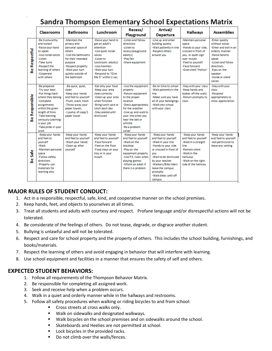# **Sandra Thompson Elementary School Expectations Matrix**

|                             | <b>Classrooms</b>                                                                                                                                                                                                               | <b>Bathrooms</b>                                                                                                                                                                                 | Lunchroom                                                                                                                                                                                            | Recess/<br>Playground                                                                                                                                                                                                               | Arrival/<br><b>Departure</b>                                                                                                                                                                                                                                 | <b>Hallways</b>                                                                                                                                                               | <b>Assemblies</b>                                                                                                                                                                                    |
|-----------------------------|---------------------------------------------------------------------------------------------------------------------------------------------------------------------------------------------------------------------------------|--------------------------------------------------------------------------------------------------------------------------------------------------------------------------------------------------|------------------------------------------------------------------------------------------------------------------------------------------------------------------------------------------------------|-------------------------------------------------------------------------------------------------------------------------------------------------------------------------------------------------------------------------------------|--------------------------------------------------------------------------------------------------------------------------------------------------------------------------------------------------------------------------------------------------------------|-------------------------------------------------------------------------------------------------------------------------------------------------------------------------------|------------------------------------------------------------------------------------------------------------------------------------------------------------------------------------------------------|
| Respectful<br>$\omega$<br>൶ | -Be trustworthy<br>and honest<br>-Raise your hand<br>to speak<br>-Use inside voices<br>-Listen<br>-Take turns<br>-Respect the<br>learning of others<br>-Cooperate<br>with others                                                | -Maintain the<br>privacy and<br>personal space of<br>others<br>-Use the bathrooms<br>for their intended<br>purpose<br>-Respect property<br>-Wait your turn<br>quietly outside of<br>the bathroom | -Raise your hand to<br>get an adult's<br>attention<br>-Use quiet inside<br>voices<br>-Listen to<br>lunchroom adult(s)<br>-Use manners<br>-Wait your turn<br>-Respond to "Give<br>Me 5" within 2 sec. | -Listen and follow<br>directions<br>-Listen to<br>recess/playground<br>adult(s)<br>-Play fair<br>-Share equipment                                                                                                                   | -Line up and enter<br>building quietly<br>-Wait patiently in line<br>-Respect others<br>around vou                                                                                                                                                           | -Maintain personal<br>space<br>-Hands to your side.<br>crossed in front of<br>you, or quiet sign<br>over mouth<br>-Feet to yourself<br>-Face forward<br>-Give silent "Hellos" | -Enter quietly<br>without voices<br>-Enter and exit in an<br>orderly manner<br>-Raise hand to<br>speak<br>-Listen and follow<br>directions<br>-Eves on the<br>speaker<br>-Inside or silent<br>voices |
| Responsible<br>ക്           | -Be prepared<br>-Try your best<br>-Put things back<br>where they belong<br>-Complete<br>assignments<br>within the given<br>length of time<br>-Take learning<br>seriously-Learning<br>is your job<br>-Take pride in your<br>work | -Be quick, quiet,<br>clean<br>-Keep your hands<br>and feet to yourself<br>-Flush, wash, trash<br>-Throw away your<br>paper towels<br>-1 pump of soap/1<br>paper towel                            | -Eat only your food<br>-Keep your area<br>clean correctly<br>-Clean up your area<br>when finished<br>-Bring lunch card or<br>lunch each day<br>-Stay seated until<br>dismissed                       | -Use the equipment<br>properly<br>-Return equipment<br>to the proper<br>location<br>-Dress appropriately<br>for the weather<br>-Line up and walk to<br>your line when you<br>hear the bell or<br>whistle<br>-Be a problem<br>solver | -Be on time to school<br>-Wait patiently in the<br>line<br>-Make sure you have<br>all of your belongings<br>-Walkinto school<br>with your class                                                                                                              | -Stay with your class<br>-Keep hands and<br>bodies off the walls<br>-Return promptly to<br>class                                                                              | -Stav with your<br>class<br>-Respond<br>appropriately to<br>show appreciation                                                                                                                        |
| Safe<br>$\omega$<br>m       | -Keep your hands<br>and feet to<br>vourself<br>-Walk<br>-Maintain personal<br>space<br>-Follow safety<br>directions<br>-Properly use<br>materials for<br>learning only                                                          | -Keep your hands<br>and feet to yourself<br>-Wash your hands<br>-Clean up after<br>vourself                                                                                                      | -Keep your hands<br>and feet to yourself<br>-Face forward<br>-Feet on the floor<br>-Food stays on your<br>tray or in your<br>mouth                                                                   | -Keep your hands<br>and feet to vourself<br>-Walk on the<br>blacktop<br>-Play on the<br>equipment properly<br>-Use P.E. rules when<br>playing games<br>-Inform an adult if<br>there is a problem                                    | -Keep your hands<br>and feet to vourself<br>-Walkin your line<br>-Hands to your side<br>or crossed in front of<br>vou<br>-Wait to be dismissed<br>by your teacher<br>-Walkers/Bike riders<br>leave the campus<br>promptly<br>-Walk bikes until off<br>campus | -Keep your hands<br>and feet to vourself<br>-Walkin a straight<br>line<br>-Remain silent<br>-Walk in the<br>hallways<br>-Walk on the right<br>side of the hallway             | -Keep your hands<br>and feet to yourself.<br>-Ask permission to<br>leave any setting                                                                                                                 |

#### **MAJOR RULES OF STUDENT CONDUCT:**

- 1. Act in a responsible, respectful, safe, kind, and cooperative manner on the school premises.
- 2. Keep hands, feet, and objects to yourselves at all times.
- 3. Treat all students and adults with courtesy and respect. Profane language and/or disrespectful actions will not be tolerated.
- 4. Be considerate of the feelings of others. Do not tease, degrade, or disgrace another student.
- 5. Bullying is unlawful and will not be tolerated.
- 6. Respect and care for school property and the property of others. This includes the school building, furnishings, and books/materials.
- 7. Respect the learning of others and avoid engaging in behavior that will interfere with learning.
- 8. Use school equipment and facilities in a manner that ensures the safety of self and others.

#### **EXPECTED STUDENT BEHAVIORS:**

- 1. Follow all requirements of the Thompson Behavior Matrix.
- 2. Be responsible for completing all assigned work.
- 3. Seek and receive help when a problem occurs.
- 4. Walk in a quiet and orderly manner while in the hallways and restrooms.
- 5. Follow all safety procedures when walking or riding bicycles to and from school:
	- **Cross streets at cross walks only.**
	- **Walk on sidewalks and designated walkways.**
	- **Walk bicycles on the school premises and on sidewalks around the school.**
	- **Skateboards and Heelies are not permitted at school.**
	- **Lock bicycles in the provided racks.**
	- Do not climb over the walls/fences.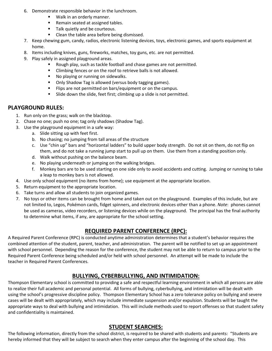- 6. Demonstrate responsible behavior in the lunchroom.
	- **Walk in an orderly manner.**
	- Remain seated at assigned tables.
	- Talk quietly and be courteous.
	- Clean the table area before being dismissed.
- 7. Keep chewing gum, candy, radios, electronic listening devices, toys, electronic games, and sports equipment at home.
- 8. Items including knives, guns, fireworks, matches, toy guns, etc. are not permitted.
- 9. Play safely in assigned playground areas.
	- **Rough play, such as tackle football and chase games are not permitted.**
	- **EXECUTE:** Climbing fences or on the roof to retrieve balls is not allowed.
	- No playing or running on sidewalks.
	- Only Shadow Tag is allowed (versus body tagging games).
	- **FILIP** Flips are not permitted on bars/equipment or on the campus.
	- Slide down the slide, feet first; climbing up a slide is not permitted.

#### **PLAYGROUND RULES:**

- 1. Run only on the grass; walk on the blacktop.
- 2. Chase no one; push no one; tag only shadows (Shadow Tag).
- 3. Use the playground equipment in a safe way:
	- a. Slide sitting up with feet first.
	- b. No chasing; no jumping from tall areas of the structure
	- c. Use "chin up" bars and "horizontal ladders" to build upper body strength. Do not sit on them, do not flip on them, and do not take a running jump start to pull up on them. Use them from a standing position only.
	- d. Walk without pushing on the balance beam.
	- e. No playing underneath or jumping on the walking bridges.
	- f. Monkey bars are to be used starting on one side only to avoid accidents and cutting. Jumping or running to take a leap to monkey bars is not allowed.
- 4. Use only school equipment (no items from home); use equipment at the appropriate location.
- 5. Return equipment to the appropriate location.
- 6. Take turns and allow all students to join organized games.
- 7. No toys or other items can be brought from home and taken out on the playground. Examples of this include, but are not limited to, Legos, Pokémon cards, fidget spinners, and electronic devices other than a phone. *Note*: phones cannot be used as cameras, video recorders, or listening devices while on the playground. The principal has the final authority to determine what items, if any, are appropriate for the school setting.

#### **REQUIRED PARENT CONFERENCE (RPC):**

A Required Parent Conference (RPC) is conducted anytime administration determines that a student's behavior requires the combined attention of the student, parent, teacher, and administration. The parent will be notified to set up an appointment with school personnel. Depending the reason for the conference, the student may not be able to return to campus prior to the Required Parent Conference being scheduled and/or held with school personnel. An attempt will be made to include the teacher in Required Parent Conferences.

#### **BULLYING, CYBERBULLYING, AND INTIMIDATION:**

Thompson Elementary school is committed to providing a safe and respectful learning environment in which all persons are able to realize their full academic and personal potential. All forms of bullying, cyberbullying, and intimidation will be dealt with using the school's progressive discipline policy. Thompson Elementary School has a zero tolerance policy on bullying and severe cases will be dealt with appropriately, which may include immediate suspension and/or expulsion. Students will be taught the appropriate ways to deal with bullying and intimidation. This will include methods used to report offenses so that student safety and confidentiality is maintained.

#### **STUDENT SEARCHES:**

The following information, directly from the school district, is required to be shared with students and parents: "Students are hereby informed that they will be subject to search when they enter campus after the beginning of the school day. This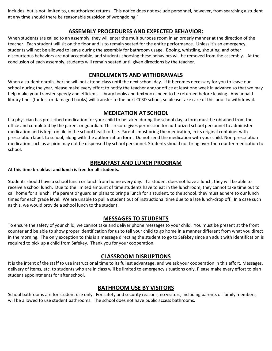includes, but is not limited to, unauthorized returns. This notice does not exclude personnel, however, from searching a student at any time should there be reasonable suspicion of wrongdoing."

# **ASSEMBLY PROCEDURES AND EXPECTED BEHAVIOR:**

When students are called to an assembly, they will enter the multipurpose room in an orderly manner at the direction of the teacher. Each student will sit on the floor and is to remain seated for the entire performance. Unless it's an emergency, students will not be allowed to leave during the assembly for bathroom usage. Booing, whistling, shouting, and other discourteous behaviors are not acceptable, and students choosing these behaviors will be removed from the assembly. At the conclusion of each assembly, students will remain seated until given directions by the teacher.

# **ENROLLMENTS AND WITHDRAWALS**

When a student enrolls, he/she will not attend class until the next school day. If it becomes necessary for you to leave our school during the year, please make every effort to notify the teacher and/or office at least one week in advance so that we may help make your transfer speedy and efficient. Library books and textbooks need to be returned before leaving. Any unpaid library fines (for lost or damaged books) will transfer to the next CCSD school, so please take care of this prior to withdrawal.

# **MEDICATION AT SCHOOL**

If a physician has prescribed medication for your child to be taken during the school day, a form must be obtained from the office and completed by the parent or guardian. This record gives permission for authorized school personnel to administer medication and is kept on file in the school health office. Parents must bring the medication, in its original container with prescription label, to school, along with the authorization form. Do not send the medication with your child. Non-prescription medication such as aspirin may not be dispensed by school personnel. Students should not bring over-the-counter medication to school.

# **BREAKFAST AND LUNCH PROGRAM**

#### **At this time breakfast and lunch is free for all students.**

Students should have a school lunch or lunch from home every day. If a student does not have a lunch, they will be able to receive a school lunch. Due to the limited amount of time students have to eat in the lunchroom, they cannot take time out to call home for a lunch. If a parent or guardian plans to bring a lunch for a student, to the school, they must adhere to our lunch times for each grade level. We are unable to pull a student out of instructional time due to a late lunch-drop off. In a case such as this, we would provide a school lunch to the student.

# **MESSAGES TO STUDENTS**

To ensure the safety of your child, we cannot take and deliver phone messages to your child. You must be present at the front counter and be able to show proper identification for us to tell your child to go home in a manner different from what you direct in the morning. The only exception to this is a message directing the student to go to Safekey since an adult with identification is required to pick up a child from Safekey. Thank you for your cooperation.

#### **CLASSROOM DISRUPTIONS**

It is the intent of the staff to use instructional time to its fullest advantage, and we ask your cooperation in this effort. Messages, delivery of items, etc. to students who are in class will be limited to emergency situations only. Please make every effort to plan student appointments for after school.

# **BATHROOM USE BY VISITORS**

School bathrooms are for student use only. For safety and security reasons, no visitors, including parents or family members, will be allowed to use student bathrooms. The school does not have public access bathrooms.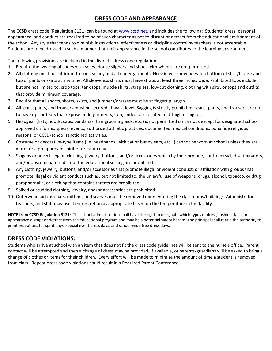# **DRESS CODE AND APPEARANCE**

The CCSD dress code (Regulation 5131) can be found at [www.ccsd.net,](http://www.ccsd.net/) and includes the following: Students' dress, personal appearance, and conduct are required to be of such character as not to disrupt or detract from the educational environment of the school. Any style that tends to diminish instructional effectiveness or discipline control by teachers is not acceptable. Students are to be dressed in such a manner that their appearance in the school contributes to the learning environment.

The following provisions are included in the district's dress code regulation:

- 1. Require the wearing of shoes with soles. House slippers and shoes with wheels are not permitted.
- 2. All clothing must be sufficient to conceal any and all undergarments. No skin will show between bottom of shirt/blouse and top of pants or skirts at any time. All sleeveless shirts must have straps at least three inches wide. Prohibited tops include, but are not limited to, crop tops, tank tops, muscle shirts, strapless, low-cut clothing, clothing with slits, or tops and outfits that provide minimum coverage.
- 3. Require that all shorts, skorts, skirts, and jumpers/dresses must be at fingertip length.
- 4. All jeans, pants, and trousers must be secured at waist level. Sagging is strictly prohibited. Jeans, pants, and trousers are not to have rips or tears that expose undergarments, skin, and/or are located mid-thigh or higher.
- 5. Headgear (hats, hoods, caps, bandanas, hair grooming aids, etc.) is not permitted on campus except for designated school approved uniforms, special events, authorized athletic practices, documented medical conditions, bona fide religious reasons, or CCSD/school sanctioned activities.
- 6. Costume or decorative-type items (i.e. headbands, with cat or bunny ears, etc…) cannot be worn at school unless they are worn for a preapproved spirit or dress up day.
- 7. Slogans or advertising on clothing, jewelry, buttons, and/or accessories which by their profane, controversial, discriminatory, and/or obscene nature disrupt the educational setting are prohibited.
- 8. Any clothing, jewelry, buttons, and/or accessories that promote illegal or violent conduct, or affiliation with groups that promote illegal or violent conduct such as, but not limited to, the unlawful use of weapons, drugs, alcohol, tobacco, or drug paraphernalia, or clothing that contains threats are prohibited.
- 9. Spiked or studded clothing, jewelry, and/or accessories are prohibited.
- 10. Outerwear such as coats, mittens, and scarves must be removed upon entering the classrooms/buildings. Administrators, teachers, and staff may use their discretion as appropriate based on the temperature in the facility.

**NOTE from CCSD Regulation 5131**: The school administration shall have the right to designate which types of dress, fashion, fads, or appearance disrupt or detract from the educational program and may be a potential safety hazard. The principal shall retain the authority to grant exceptions for spirit days, special event dress days, and school-wide free dress days.

# **DRESS CODE VIOLATIONS:**

Students who arrive at school with an item that does not fit the dress code guidelines will be sent to the nurse's office. Parent contact will be attempted and then a change of dress may be provided, if available, or parents/guardians will be asked to bring a change of clothes or items for their children. Every effort will be made to minimize the amount of time a student is removed from class. Repeat dress code violations could result in a Required Parent Conference.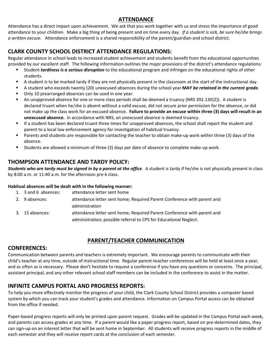# **ATTENDANCE**

Attendance has a direct impact upon achievement. We ask that you work together with us and stress the importance of good attendance to your children. Make a big thing of being present and on time every day. *If a student is sick, be sure he/she brings a written excuse.* Attendance enforcement is a shared responsibility of the parent/guardian and school district.

# **CLARK COUNTY SCHOOL DISTRICT ATTENDANCE REGULATIONS:**

Regular attendance in school leads to increased student achievement and students benefit from the educational opportunities provided by our excellent staff. The following information outlines the major provisions of the district's attendance regulations:

- Student *tardiness is a serious disruption* to the educational program and infringes on the educational rights of other students.
- A student is to be marked tardy if they are not physically present in the classroom at the start of the instructional day.
- A student who exceeds twenty (20) unexcused absences during the school year **MAY** *be retained in the current grade.*
- Only 10 prearranged absences can be used in one year.
- An unapproved absence for one or more class periods shall be deemed a truancy (NRS 392.130{2}). A student is declared truant when he/she is absent without a valid excuse, did not secure prior permission for the absence, or did not make up the class work for an excused absence. **Failure to provide an excuse within three (3) days will result in an unexcused absence.** In accordance with NRS, an unexcused absence is deemed truancy.
- If a student has been declared truant three times for unapproved absences, the school shall report the student and parent to a local law enforcement agency for investigation of habitual truancy.
- Parents and students are responsible for contacting the teacher to obtain make-up work within three (3) days of the absence.
- Students are allowed a minimum of three (3) days per date of absence to complete make-up work.

# **THOMPSON ATTENDANCE AND TARDY POLICY:**

*Students who are tardy must be signed in by a parent at the office*. A student is tardy if he/she is not physically present in class by 8:00 a.m. or 11:40 a.m. for the afternoon pre-k class.

#### **Habitual absences will be dealt with in the following manner:**

- 1. 3 and 6 absences: attendance letter sent home
- 2. 9 absences: attendance letter sent home; Required Parent Conference with parent and administration
- 3. 15 absences: attendance letter sent home; Required Parent Conference with parent and administration; possible referral to CPS for Educational Neglect.

# **PARENT/TEACHER COMMUNICATION**

# **CONFERENCES:**

Communication between parents and teachers is extremely important. We encourage parents to communicate with their child's teacher at any time, outside of instructional time. Regular parent-teacher conferences will be held at least once a year, and as often as is necessary. Please don't hesitate to request a conference if you have any questions or concerns. The principal, assistant principal, and any other relevant school staff members can be included in the conference to assist in the matter.

# **INFINITE CAMPUS PORTAL AND PROGRESS REPORTS:**

To help you more effectively monitor the progress of your child, the Clark County School District provides a computer based system by which you can track your student's grades and attendance. Information on Campus Portal access can be obtained from the office if needed.

Paper-based progress reports will only be printed upon parent request. Grades will be updated in the Campus Portal each week, and parents can access grades at any time. If a parent would like a paper progress report, based on pre-determined dates, they can sign-up on an interest letter that will be sent home in September. All students will receive progress reports in the middle of each semester and they will receive report cards at the conclusion of each semester.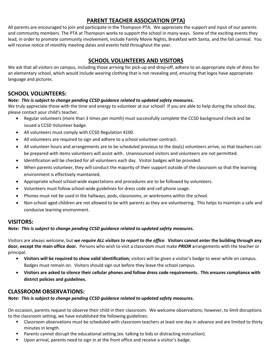# **PARENT TEACHER ASSOCIATION (PTA)**

All parents are encouraged to join and participate in the Thompson PTA. We appreciate the support and input of our parents and community members. The PTA at Thompson works to support the school in many ways. Some of the exciting events they lead, in order to promote community involvement, include Family Movie Nights, Breakfast with Santa, and the fall carnival. You will receive notice of monthly meeting dates and events held throughout the year.

# **SCHOOL VOLUNTEERS AND VISITORS**

We ask that all visitors on campus, including those arriving for pick-up and drop-off, adhere to an appropriate style of dress for an elementary school, which would include wearing clothing that is not revealing and, ensuring that logos have appropriate language and pictures.

# **SCHOOL VOLUNTEERS:**

#### *Note: This is subject to change pending CCSD guidance related to updated safety measures.*

We truly appreciate those with the time and energy to volunteer at our school! If you are able to help during the school day, please contact your child's teacher.

- Regular volunteers (more than 3 times per month) must successfully complete the CCSD background check and be issued a CCSD Volunteer badge.
- All volunteers must comply with CCSD Regulation 4100.
- All volunteers are required to sign and adhere to a school volunteer contract.
- All volunteer hours and arrangements are to be scheduled previous to the day(s) volunteers arrive, so that teachers can be prepared with items volunteers will assist with. Unannounced visitors and volunteers are not permitted.
- Identification will be checked for all volunteers each day. Visitor badges will be provided.
- When parents volunteer, they will conduct the majority of their support outside of the classroom so that the learning environment is effectively maintained.
- Appropriate school school-wide expectations and procedures are to be followed by volunteers.
- Volunteers must follow school-wide guidelines for dress code and cell phone usage.
- Phones must not be used in the hallways, pods, classrooms, or workrooms within the school.
- Non-school aged children are not allowed to be with parents as they are volunteering. This helps to maintain a safe and conducive learning environment.

#### **VISITORS:**

*Note: This is subject to change pending CCSD guidance related to updated safety measures.*

Visitors are always welcome, but *we require ALL visitors to report to the office*. **Visitors cannot enter the building through any door, except the main office door.** Persons who wish to visit a classroom must make *PRIOR* arrangements with the teacher or principal.

- **Visitors will be required to show valid identification;** visitors will be given a visitor's badge to wear while on campus. Badges must remain on. Visitors should sign out before they leave the school campus.
- **Visitors are asked to silence their cellular phones and follow dress code requirements. This ensures compliance with district policies and guidelines.**

#### **CLASSROOM OBSERVATIONS:**

#### *Note: This is subject to change pending CCSD guidance related to updated safety measures.*

On occasion, parents request to observe their child in their classroom. We welcome observations; however, to limit disruptions to the classroom setting, we have established the following guidelines:

- Classroom observations must be scheduled with classroom teachers at least one day in advance and are limited to thirty minutes in length.
- Parents cannot disrupt the educational setting (ex. talking to kids or distracting instruction).
- **Upon arrival, parents need to sign in at the front office and receive a visitor's badge.**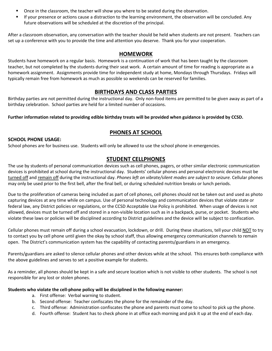- **•** Once in the classroom, the teacher will show you where to be seated during the observation.
- If your presence or actions cause a distraction to the learning environment, the observation will be concluded. Any future observations will be scheduled at the discretion of the principal.

After a classroom observation, any conversation with the teacher should be held when students are not present. Teachers can set up a conference with you to provide the time and attention you deserve. Thank you for your cooperation.

#### **HOMEWORK**

Students have homework on a regular basis. Homework is a continuation of work that has been taught by the classroom teacher, but not completed by the students during their seat work. A certain amount of time for reading is appropriate as a homework assignment. Assignments provide time for independent study at home, Mondays through Thursdays. Fridays will typically remain free from homework as much as possible so weekends can be reserved for families.

#### **BIRTHDAYS AND CLASS PARTIES**

Birthday parties are not permitted during the instructional day. Only non-food items are permitted to be given away as part of a birthday celebration. School parties are held for a limited number of occasions.

**Further information related to providing edible birthday treats will be provided when guidance is provided by CCSD.**

# **PHONES AT SCHOOL**

#### **SCHOOL PHONE USAGE:**

School phones are for business use. Students will only be allowed to use the school phone in emergencies.

#### **STUDENT CELLPHONES**

The use by students of personal communication devices such as cell phones, pagers, or other similar electronic communication devices is prohibited at school during the instructional day. Students' cellular phones and personal electronic devices must be turned off and remain off during the instructional day. *Phones left on vibrate/silent modes are subject to seizure.* Cellular phones may only be used prior to the first bell, after the final bell, or during scheduled nutrition breaks or lunch periods.

Due to the proliferation of cameras being included as part of cell phones, cell phones should not be taken out and used as photo capturing devices at any time while on campus. Use of personal technology and communication devices that violate state or federal law, any District policies or regulations, or the CCSD Acceptable Use Policy is prohibited. When usage of devices is not allowed, devices must be turned off and stored in a non-visible location such as in a backpack, purse, or pocket. Students who violate these laws or policies will be disciplined according to District guidelines and the device will be subject to confiscation.

Cellular phones must remain off during a school evacuation, lockdown, or drill. During these situations, tell your child NOT to try to contact you by cell phone until given the okay by school staff, thus allowing emergency communication channels to remain open. The District's communication system has the capability of contacting parents/guardians in an emergency.

Parents/guardians are asked to silence cellular phones and other devices while at the school. This ensures both compliance with the above guidelines and serves to set a positive example for students.

As a reminder, all phones should be kept in a safe and secure location which is not visible to other students. The school is not responsible for any lost or stolen phones.

#### **Students who violate the cell-phone policy will be disciplined in the following manner:**

- a. First offense: Verbal warning to student.
- b. Second offense: Teacher confiscates the phone for the remainder of the day.
- c. Third offense: Administration confiscates the phone and parents must come to school to pick up the phone.
- d. Fourth offense: Student has to check phone in at office each morning and pick it up at the end of each day.